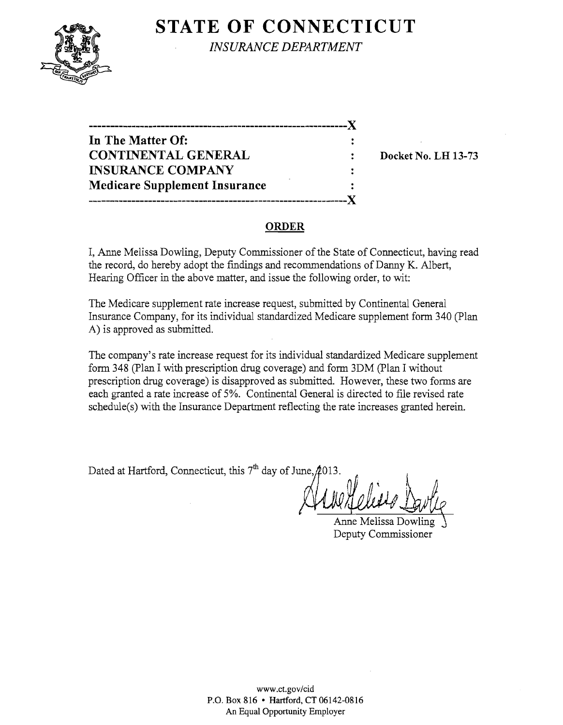

**STATE OF CONNECTICUT** 

*INSURANCE DEPARTMENT* 

| --------------                       |  |
|--------------------------------------|--|
| In The Matter Of:                    |  |
| <b>CONTINENTAL GENERAL</b>           |  |
| <b>INSURANCE COMPANY</b>             |  |
| <b>Medicare Supplement Insurance</b> |  |
|                                      |  |

Docket No. LH 13-73

#### ORDER

I, Anne Melissa Dowling, Deputy Commissioner of the State of Connecticut, having read the record, do hereby adopt the findings and recommendations of Danny K. Albert, Hearing Officer in the above matter, and issue the following order, to wit:

The Medicare supplement rate increase request, submitted by Continental General Insurance Company, for its individual standardized Medicare supplement form 340 (Plan A) is approved as submitted.

The company's rate increase request for its individual standardized Medicare supplement form 348 (plan I with prescription drug coverage) and form 3DM (plan I without prescription drug coverage) is disapproved as submitted. However, these two forms are each granted a rate increase of 5%. Continental General is directed to file revised rate schedule(s) with the Insurance Department reflecting the rate increases granted herein.

 $D$  at  $\mathcal{A}$  at  $\mathcal{A}$  at  $\mathcal{A}$ 

Anne Melissa Dowi Deputy Commissioner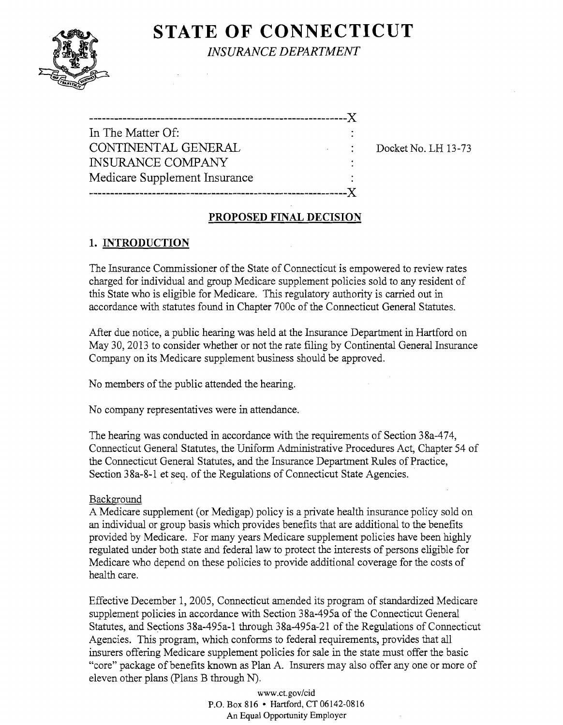# **STATE OF CONNECTICUT**



*INSURANCE DEPARTMENT* 

|    | In The Matter Of:             |
|----|-------------------------------|
|    | CONTINENTAL GENERAL           |
|    | <b>INSURANCE COMPANY</b>      |
|    | Medicare Supplement Insurance |
| X. |                               |
|    |                               |

Docket No. LH 13-73

### PROPOSED FINAL DECISION

## 1. INTRODUCTION

The Insurance Commissioner of the State of Connecticut is empowered to review rates charged for individual and group Medicare supplement policies sold to any resident of this State who is eligible for Medicare. This regulatory authority is carried out in accordance with statutes found in Chapter 700c of the Connecticut General Statutes.

After due notice, a public hearing was held at the Insurance Department in Hartford on May 30, 2013 to consider whether or not the rate filing by Continental General Insurance Company on its Medicare supplement business should be approved.

No members of the public attended the hearing.

No company representatives were in attendance.

The hearing was conducted in accordance with the requirements of Section 38a-474, Connecticut General Statutes, the Uniform Administrative Procedures Act, Chapter 54 of the Connecticut General Statutes, and the Insurance Department Rilles of Practice, Section 38a-8-1 et seq. of the Regulations of Connecticut State Agencies..

### Background

A Medicare supplement (or Medigap) policy is a private health insurance policy sold on an individual or group basis which provides benefits that are additional to the benefits provided by Medicare. For many years Medicare supplement policies have been highly regulated under both state and federal law to protect the interests of persons eligible for Medicare who depend on these policies to provide additional coverage for the costs of health care.

Effective December 1, 2005, Connecticut amended its program of standardized Medicare supplement policies in accordance with Section 38a-495a of the Connecticut General Statutes, and Sections 38a-495a-1 through 38a-495a-21 of the Regulations of Connecticut Agencies. This program, which conforms to federal requirements, provides that all insurers offering Medicare supplement policies for sale in the state must offer the basic "core" package of benefits known as Plan A. Insurers may also offer anyone or more of eleven other plans (Plans B through  $N$ ).

> www.ct.gov/cid P.O. Box 816 • Hartford, CT 06142-0816 An Equal Opportunity Employer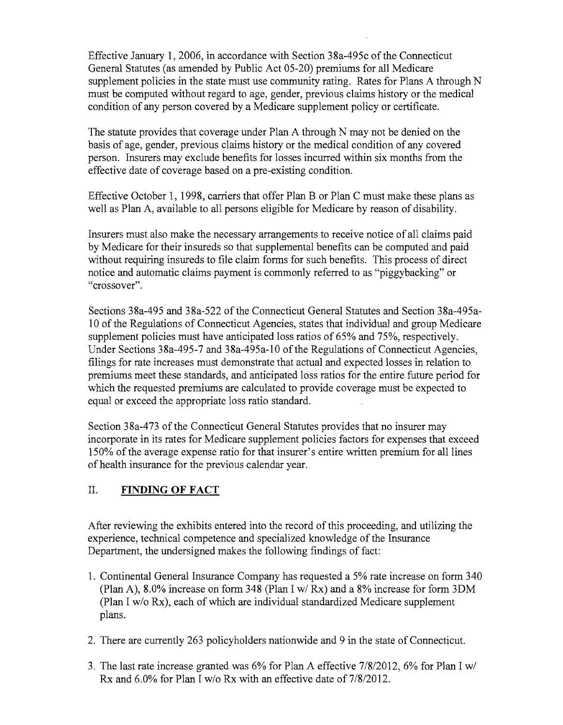Effective January 1,2006, in accordance with Section 38a-495c of the Connecticut General Statutes (as amended by Public Act 05-20) premiums for all Medicare supplement policies in the state must use community rating. Rates for Plans A through  $N$ must be computed without regard to age, gender, previous claims history or the medical condition of any person covered by a Medicare supplement policy or certificate.

The statute provides that coverage under Plan A through N may not be denied on the basis of age, gender, previous claims history or the medical condition of any covered person. Insurers may exclude benefits for losses incurred within six months from the effective date of coverage based on a pre-existing condition.

Effective October 1, 1998, carriers that offer Plan B or Plan C must make these plans as well as Plan A, available to all persons eligible for Medicare by reason of disability.

Insurers must also make the necessary arrangements to receive notice of all claims paid by Medicare for their insureds so that supplemental benefits can be computed and paid without requiring insureds to file claim forms for such benefits. This process of direct notice and automatic claims payment is commonly referred to as "piggybacking" or "crossover".

Sections 38a-495 and 38a-522 of the Connecticut General Statutes and Section 38a-495a-10 of the Regulations of Connecticut Agencies, states that individual and group Medicare supplement policies must have anticipated loss ratios of 65% and 75%, respectively. Under Sections 38a-495-7 and 38a-495a-10 of the Regulations of Connecticut Agencies, filings for rate increases must demonstrate that actual and expected losses in relation to premiums meet these standards, and anticipated loss ratios for the entire future period for which the requested premiums are calculated to provide coverage must be expected to equal or exceed the appropriate loss ratio standard.

Section 38a-473 of the Connecticut General Statutes provides that no insurer may incorporate in its rates for Medicare supplement policies factors for expenses that exceed 150% of the average expense ratio for that insurer's entire written premium for all lines of health insurance for the previous calendar year.

## II. **FINDING OF FACT**

After reviewing the exhibits entered into the record of this proceeding, and utilizing the experience, technical competence and specialized knowledge of the Insurance Department, the undersigned makes the following findings of fact:

- 1. Continental General Insurance Company has requested a 5% rate increase on form 340 (Plan A), 8.0% increase on form 348 (Plan I *wi* Rx) and a 8% increase for form 3DM (Plan I *wlo* Rx), each of which are individual standardized Medicare supplement plans.
- 2. There are currently 263 policyholders nationwide and 9 in the state of Connecticut.
- 3. The last rate increase granted was 6% for Plan A effective *7/8/2012,* 6% for Plan I *wi*  Rx and 6.0% for Plan I *wlo* Rx with an effective date of *7/8/2012.*